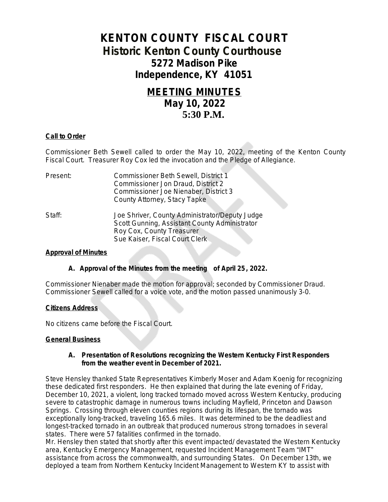# **KENTON COUNTY FISCAL COURT Historic Kenton County Courthouse 5272 Madison Pike Independence, KY 41051**

# **MEETING MINUTES May 10, 2022 5:30 P.M.**

## **Call to Order**

Commissioner Beth Sewell called to order the May 10, 2022, meeting of the Kenton County Fiscal Court. Treasurer Roy Cox led the invocation and the Pledge of Allegiance.

| Present: | Commissioner Beth Sewell, District 1           |
|----------|------------------------------------------------|
|          | Commissioner Jon Draud, District 2             |
|          | Commissioner Joe Nienaber, District 3          |
|          | County Attorney, Stacy Tapke                   |
| Staff:   | Joe Shriver, County Administrator/Deputy Judge |
|          | Scott Gunning, Assistant County Administrator  |
|          | Roy Cox, County Treasurer                      |
|          | Sue Kaiser, Fiscal Court Clerk.                |

#### **Approval of Minutes**

#### **A. Approval of the Minutes from the meeting of April 25, 2022.**

Commissioner Nienaber made the motion for approval; seconded by Commissioner Draud. Commissioner Sewell called for a voice vote, and the motion passed unanimously 3-0.

#### **Citizens Address**

No citizens came before the Fiscal Court.

#### **General Business**

#### **A. Presentation of Resolutions recognizing the Western Kentucky First Responders from the weather event in December of 2021.**

Steve Hensley thanked State Representatives Kimberly Moser and Adam Koenig for recognizing these dedicated first responders. He then explained that during the late evening of Friday, December 10, 2021, a violent, long tracked tornado moved across Western Kentucky, producing severe to catastrophic damage in numerous towns including Mayfield, Princeton and Dawson Springs. Crossing through eleven counties regions during its lifespan, the tornado was exceptionally long-tracked, traveling 165.6 miles. It was determined to be the deadliest and longest-tracked tornado in an outbreak that produced numerous strong tornadoes in several states. There were 57 fatalities confirmed in the tornado.

Mr. Hensley then stated that shortly after this event impacted/ devastated the Western Kentucky area, Kentucky Emergency Management, requested Incident Management Team "IMT" assistance from across the commonwealth, and surrounding States. On December 13th, we deployed a team from Northern Kentucky Incident Management to Western KY to assist with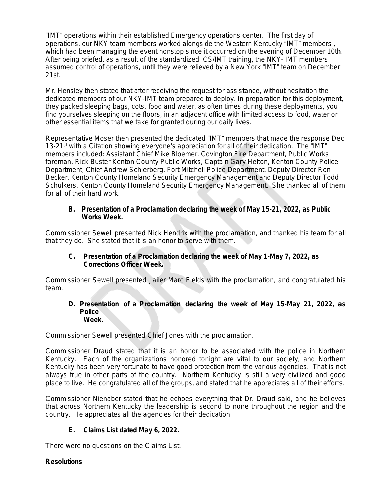"IMT" operations within their established Emergency operations center. The first day of operations, our NKY team members worked alongside the Western Kentucky "IMT" members , which had been managing the event nonstop since it occurred on the evening of December 10th. After being briefed, as a result of the standardized ICS/IMT training, the NKY- IMT members assumed control of operations, until they were relieved by a New York "IMT" team on December 21st.

Mr. Hensley then stated that after receiving the request for assistance, without hesitation the dedicated members of our NKY-IMT team prepared to deploy. In preparation for this deployment, they packed sleeping bags, cots, food and water, as often times during these deployments, you find yourselves sleeping on the floors, in an adjacent office with limited access to food, water or other essential items that we take for granted during our daily lives.

Representative Moser then presented the dedicated "IMT" members that made the response Dec 13-21<sup>st</sup> with a Citation showing everyone's appreciation for all of their dedication. The "IMT" members included: Assistant Chief Mike Bloemer, Covington Fire Department, Public Works foreman, Rick Buster Kenton County Public Works, Captain Gary Helton, Kenton County Police Department, Chief Andrew Schierberg, Fort Mitchell Police Department, Deputy Director Ron Becker, Kenton County Homeland Security Emergency Management and Deputy Director Todd Schulkers, Kenton County Homeland Security Emergency Management. She thanked all of them for all of their hard work.

## **B. Presentation of a Proclamation declaring the week of May 15-21, 2022, as Public Works Week.**

Commissioner Sewell presented Nick Hendrix with the proclamation, and thanked his team for all that they do. She stated that it is an honor to serve with them.

## **C. Presentation of a Proclamation declaring the week of May 1-May 7, 2022, as Corrections Officer Week.**

Commissioner Sewell presented Jailer Marc Fields with the proclamation, and congratulated his team.

#### **D. Presentation of a Proclamation declaring the week of May 15-May 21, 2022, as Police Week.**

Commissioner Sewell presented Chief Jones with the proclamation.

Commissioner Draud stated that it is an honor to be associated with the police in Northern Kentucky. Each of the organizations honored tonight are vital to our society, and Northern Kentucky has been very fortunate to have good protection from the various agencies. That is not always true in other parts of the country. Northern Kentucky is still a very civilized and good place to live. He congratulated all of the groups, and stated that he appreciates all of their efforts.

Commissioner Nienaber stated that he echoes everything that Dr. Draud said, and he believes that across Northern Kentucky the leadership is second to none throughout the region and the country. He appreciates all the agencies for their dedication.

# **E. Claims List dated May 6, 2022.**

There were no questions on the Claims List.

# **Resolutions**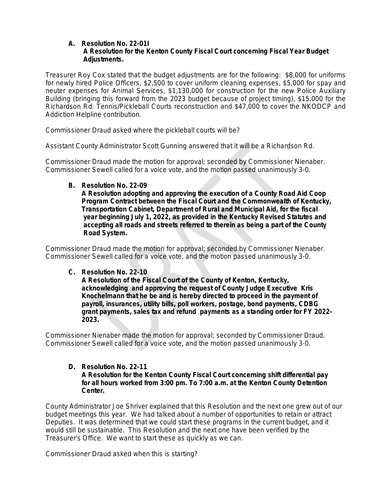#### **A. Resolution No. 22-01I A Resolution for the Kenton County Fiscal Court concerning Fiscal Year Budget Adjustments.**

Treasurer Roy Cox stated that the budget adjustments are for the following: \$8,000 for uniforms for newly hired Police Officers, \$2,500 to cover uniform cleaning expenses, \$5,000 for spay and neuter expenses for Animal Services, \$1,130,000 for construction for the new Police Auxiliary Building (bringing this forward from the 2023 budget because of project timing), \$15,000 for the Richardson Rd. Tennis/Pickleball Courts reconstruction and \$47,000 to cover the NKODCP and Addiction Helpline contribution.

Commissioner Draud asked where the pickleball courts will be?

Assistant County Administrator Scott Gunning answered that it will be a Richardson Rd.

Commissioner Draud made the motion for approval; seconded by Commissioner Nienaber. Commissioner Sewell called for a voice vote, and the motion passed unanimously 3-0.

#### **B. Resolution No. 22-09**

 **A Resolution adopting and approving the execution of a County Road Aid Coop Program Contract between the Fiscal Court and the Commonwealth of Kentucky, Transportation Cabinet, Department of Rural and Municipal Aid, for the fiscal year beginning July 1, 2022, as provided in the Kentucky Revised Statutes and accepting all roads and streets referred to therein as being a part of the County Road System.**

Commissioner Draud made the motion for approval; seconded by Commissioner Nienaber. Commissioner Sewell called for a voice vote, and the motion passed unanimously 3-0.

## **C. Resolution No. 22-10**

 **A Resolution of the Fiscal Court of the County of Kenton, Kentucky, acknowledging and approving the request of County Judge Executive Kris Knochelmann that he be and is hereby directed to proceed in the payment of payroll, insurances, utility bills, poll workers, postage, bond payments, CDBG grant payments, sales tax and refund payments as a standing order for FY 2022- 2023.**

Commissioner Nienaber made the motion for approval; seconded by Commissioner Draud. Commissioner Sewell called for a voice vote, and the motion passed unanimously 3-0.

#### **D. Resolution No. 22-11 A Resolution for the Kenton County Fiscal Court concerning shift differential pay for all hours worked from 3:00 pm. To 7:00 a.m. at the Kenton County Detention Center.**

County Administrator Joe Shriver explained that this Resolution and the next one grew out of our budget meetings this year. We had talked about a number of opportunities to retain or attract Deputies. It was determined that we could start these programs in the current budget, and it would still be sustainable. This Resolution and the next one have been verified by the Treasurer's Office. We want to start these as quickly as we can.

Commissioner Draud asked when this is starting?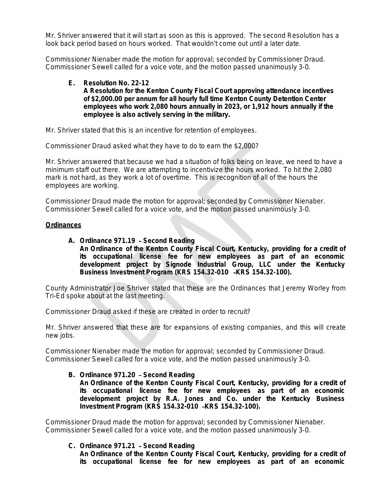Mr. Shriver answered that it will start as soon as this is approved. The second Resolution has a look back period based on hours worked. That wouldn't come out until a later date.

Commissioner Nienaber made the motion for approval; seconded by Commissioner Draud. Commissioner Sewell called for a voice vote, and the motion passed unanimously 3-0.

#### **E. Resolution No. 22-12 A Resolution for the Kenton County Fiscal Court approving attendance incentives of \$2,000.00 per annum for all hourly full time Kenton County Detention Center employees who work 2,080 hours annually in 2023, or 1,912 hours annually if the employee is also actively serving in the military.**

Mr. Shriver stated that this is an incentive for retention of employees.

Commissioner Draud asked what they have to do to earn the \$2,000?

Mr. Shriver answered that because we had a situation of folks being on leave, we need to have a minimum staff out there. We are attempting to incentivize the hours worked. To hit the 2,080 mark is not hard, as they work a lot of overtime. This is recognition of all of the hours the employees are working.

Commissioner Draud made the motion for approval; seconded by Commissioner Nienaber. Commissioner Sewell called for a voice vote, and the motion passed unanimously 3-0.

### **Ordinances**

#### **A. Ordinance 971.19** – **Second Reading An Ordinance of the Kenton County Fiscal Court, Kentucky, providing for a credit of its occupational license fee for new employees as part of an economic development project by Signode Industrial Group, LLC under the Kentucky Business Investment Program (KRS 154.32-010** –**KRS 154.32-100).**

County Administrator Joe Shriver stated that these are the Ordinances that Jeremy Worley from Tri-Ed spoke about at the last meeting.

Commissioner Draud asked if these are created in order to recruit?

Mr. Shriver answered that these are for expansions of existing companies, and this will create new jobs.

Commissioner Nienaber made the motion for approval; seconded by Commissioner Draud. Commissioner Sewell called for a voice vote, and the motion passed unanimously 3-0.

## **B. Ordinance 971.20** – **Second Reading**

**An Ordinance of the Kenton County Fiscal Court, Kentucky, providing for a credit of its occupational license fee for new employees as part of an economic development project by R.A. Jones and Co. under the Kentucky Business Investment Program (KRS 154.32-010** –**KRS 154.32-100).**

Commissioner Draud made the motion for approval; seconded by Commissioner Nienaber. Commissioner Sewell called for a voice vote, and the motion passed unanimously 3-0.

## **C. Ordinance 971.21** – **Second Reading**

**An Ordinance of the Kenton County Fiscal Court, Kentucky, providing for a credit of its occupational license fee for new employees as part of an economic**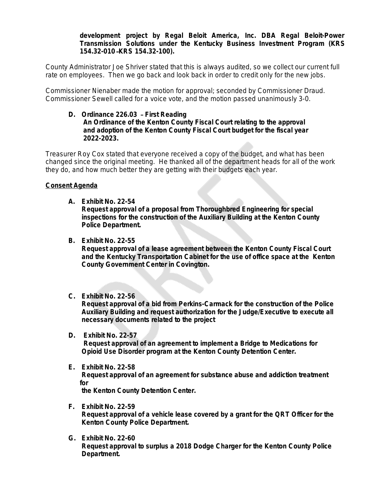### **development project by Regal Beloit America, Inc. DBA Regal Beloit-Power Transmission Solutions under the Kentucky Business Investment Program (KRS 154.32-010** –**KRS 154.32-100).**

County Administrator Joe Shriver stated that this is always audited, so we collect our current full rate on employees. Then we go back and look back in order to credit only for the new jobs.

Commissioner Nienaber made the motion for approval; seconded by Commissioner Draud. Commissioner Sewell called for a voice vote, and the motion passed unanimously 3-0.

#### **D. Ordinance 226.03** – **First Reading An Ordinance of the Kenton County Fiscal Court relating to the approval and adoption of the Kenton County Fiscal Court budget for the fiscal year 2022-2023.**

Treasurer Roy Cox stated that everyone received a copy of the budget, and what has been changed since the original meeting. He thanked all of the department heads for all of the work they do, and how much better they are getting with their budgets each year.

## **Consent Agenda**

**A. Exhibit No. 22-54**

 **Request approval of a proposal from Thoroughbred Engineering for special inspections for the construction of the Auxiliary Building at the Kenton County Police Department.**

**B. Exhibit No. 22-55**

 **Request approval of a lease agreement between the Kenton County Fiscal Court and the Kentucky Transportation Cabinet for the use of office space at the Kenton County Government Center in Covington.**

**C. Exhibit No. 22-56**

 **Request approval of a bid from Perkins-Carmack for the construction of the Police Auxiliary Building and request authorization for the Judge/Executive to execute all necessary documents related to the project**

**D. Exhibit No. 22-57**

 **Request approval of an agreement to implement a Bridge to Medications for Opioid Use Disorder program at the Kenton County Detention Center.**

**E. Exhibit No. 22-58 Request approval of an agreement for substance abuse and addiction treatment for** 

 **the Kenton County Detention Center.**

- **F. Exhibit No. 22-59 Request approval of a vehicle lease covered by a grant for the QRT Officer for the Kenton County Police Department.**
- **G. Exhibit No. 22-60 Request approval to surplus a 2018 Dodge Charger for the Kenton County Police Department.**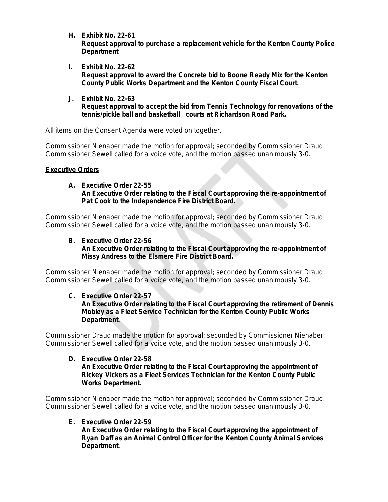- **H. Exhibit No. 22-61 Request approval to purchase a replacement vehicle for the Kenton County Police Department**
- **I. Exhibit No. 22-62 Request approval to award the Concrete bid to Boone Ready Mix for the Kenton County Public Works Department and the Kenton County Fiscal Court.**
- **J. Exhibit No. 22-63 Request approval to accept the bid from Tennis Technology for renovations of the tennis/pickle ball and basketball courts at Richardson Road Park.**

All items on the Consent Agenda were voted on together.

Commissioner Nienaber made the motion for approval; seconded by Commissioner Draud. Commissioner Sewell called for a voice vote, and the motion passed unanimously 3-0.

## **Executive Orders**

### **A. Executive Order 22-55 An Executive Order relating to the Fiscal Court approving the re-appointment of Pat Cook to the Independence Fire District Board.**

Commissioner Nienaber made the motion for approval; seconded by Commissioner Draud. Commissioner Sewell called for a voice vote, and the motion passed unanimously 3-0.

## **B. Executive Order 22-56 An Executive Order relating to the Fiscal Court approving the re-appointment of Missy Andress to the Elsmere Fire District Board.**

Commissioner Nienaber made the motion for approval; seconded by Commissioner Draud. Commissioner Sewell called for a voice vote, and the motion passed unanimously 3-0.

## **C. Executive Order 22-57**

## **An Executive Order relating to the Fiscal Court approving the retirement of Dennis Mobley as a Fleet Service Technician for the Kenton County Public Works Department.**

Commissioner Draud made the motion for approval; seconded by Commissioner Nienaber. Commissioner Sewell called for a voice vote, and the motion passed unanimously 3-0.

### **D. Executive Order 22-58 An Executive Order relating to the Fiscal Court approving the appointment of Rickey Vickers as a Fleet Services Technician for the Kenton County Public Works Department.**

Commissioner Nienaber made the motion for approval; seconded by Commissioner Draud. Commissioner Sewell called for a voice vote, and the motion passed unanimously 3-0.

## **E. Executive Order 22-59**

 **An Executive Order relating to the Fiscal Court approving the appointment of Ryan Daff as an Animal Control Officer for the Kenton County Animal Services Department.**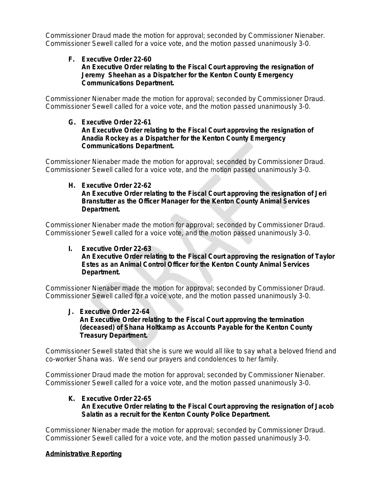Commissioner Draud made the motion for approval; seconded by Commissioner Nienaber. Commissioner Sewell called for a voice vote, and the motion passed unanimously 3-0.

### **F. Executive Order 22-60 An Executive Order relating to the Fiscal Court approving the resignation of Jeremy Sheehan as a Dispatcher for the Kenton County Emergency Communications Department.**

Commissioner Nienaber made the motion for approval; seconded by Commissioner Draud. Commissioner Sewell called for a voice vote, and the motion passed unanimously 3-0.

### **G. Executive Order 22-61 An Executive Order relating to the Fiscal Court approving the resignation of Anadia Rockey as a Dispatcher for the Kenton County Emergency Communications Department.**

Commissioner Nienaber made the motion for approval; seconded by Commissioner Draud. Commissioner Sewell called for a voice vote, and the motion passed unanimously 3-0.

#### **H. Executive Order 22-62 An Executive Order relating to the Fiscal Court approving the resignation of Jeri Branstutter as the Officer Manager for the Kenton County Animal Services Department.**

Commissioner Nienaber made the motion for approval; seconded by Commissioner Draud. Commissioner Sewell called for a voice vote, and the motion passed unanimously 3-0.

## **I. Executive Order 22-63**

 **An Executive Order relating to the Fiscal Court approving the resignation of Taylor Estes as an Animal Control Officer for the Kenton County Animal Services Department.**

Commissioner Nienaber made the motion for approval; seconded by Commissioner Draud. Commissioner Sewell called for a voice vote, and the motion passed unanimously 3-0.

#### **J. Executive Order 22-64 An Executive Order relating to the Fiscal Court approving the termination (deceased) of Shana Holtkamp as Accounts Payable for the Kenton County Treasury Department.**

Commissioner Sewell stated that she is sure we would all like to say what a beloved friend and co-worker Shana was. We send our prayers and condolences to her family.

Commissioner Draud made the motion for approval; seconded by Commissioner Nienaber. Commissioner Sewell called for a voice vote, and the motion passed unanimously 3-0.

# **K. Executive Order 22-65**

## **An Executive Order relating to the Fiscal Court approving the resignation of Jacob Salatin as a recruit for the Kenton County Police Department.**

Commissioner Nienaber made the motion for approval; seconded by Commissioner Draud. Commissioner Sewell called for a voice vote, and the motion passed unanimously 3-0.

# **Administrative Reporting**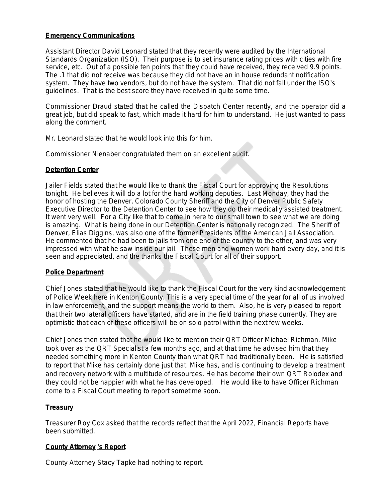## **Emergency Communications**

Assistant Director David Leonard stated that they recently were audited by the International Standards Organization (ISO). Their purpose is to set insurance rating prices with cities with fire service, etc. Out of a possible ten points that they could have received, they received 9.9 points. The .1 that did not receive was because they did not have an in house redundant notification system. They have two vendors, but do not have the system. That did not fall under the ISO's guidelines. That is the best score they have received in quite some time.

Commissioner Draud stated that he called the Dispatch Center recently, and the operator did a great job, but did speak to fast, which made it hard for him to understand. He just wanted to pass along the comment.

Mr. Leonard stated that he would look into this for him.

Commissioner Nienaber congratulated them on an excellent audit.

## **Detention Center**

Jailer Fields stated that he would like to thank the Fiscal Court for approving the Resolutions tonight. He believes it will do a lot for the hard working deputies. Last Monday, they had the honor of hosting the Denver, Colorado County Sheriff and the City of Denver Public Safety Executive Director to the Detention Center to see how they do their medically assisted treatment. It went very well. For a City like that to come in here to our small town to see what we are doing is amazing. What is being done in our Detention Center is nationally recognized. The Sheriff of Denver, Elias Diggins, was also one of the former Presidents of the American Jail Association. He commented that he had been to jails from one end of the country to the other, and was very impressed with what he saw inside our jail. These men and women work hard every day, and it is seen and appreciated, and the thanks the Fiscal Court for all of their support.

## **Police Department**

Chief Jones stated that he would like to thank the Fiscal Court for the very kind acknowledgement of Police Week here in Kenton County. This is a very special time of the year for all of us involved in law enforcement, and the support means the world to them. Also, he is very pleased to report that their two lateral officers have started, and are in the field training phase currently. They are optimistic that each of these officers will be on solo patrol within the next few weeks.

Chief Jones then stated that he would like to mention their QRT Officer Michael Richman. Mike took over as the QRT Specialist a few months ago, and at that time he advised him that they needed something more in Kenton County than what QRT had traditionally been. He is satisfied to report that Mike has certainly done just that. Mike has, and is continuing to develop a treatment and recovery network with a multitude of resources. He has become their own QRT Rolodex and they could not be happier with what he has developed. He would like to have Officer Richman come to a Fiscal Court meeting to report sometime soon.

## **Treasury**

Treasurer Roy Cox asked that the records reflect that the April 2022, Financial Reports have been submitted.

## **County Attorney** '**s Report**

County Attorney Stacy Tapke had nothing to report.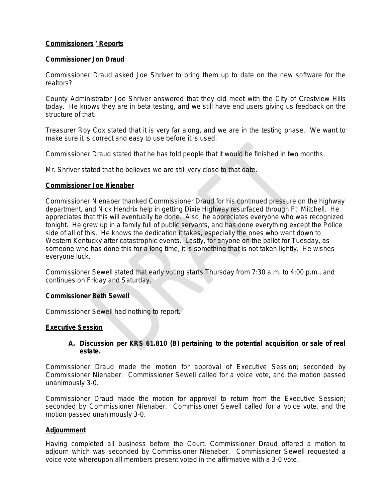## **Commissioners** ' **Reports**

## **Commissioner Jon Draud**

Commissioner Draud asked Joe Shriver to bring them up to date on the new software for the realtors?

County Administrator Joe Shriver answered that they did meet with the City of Crestview Hills today. He knows they are in beta testing, and we still have end users giving us feedback on the structure of that.

Treasurer Roy Cox stated that it is very far along, and we are in the testing phase. We want to make sure it is correct and easy to use before it is used.

Commissioner Draud stated that he has told people that it would be finished in two months.

Mr. Shriver stated that he believes we are still very close to that date.

### **Commissioner Joe Nienaber**

Commissioner Nienaber thanked Commissioner Draud for his continued pressure on the highway department, and Nick Hendrix help in getting Dixie Highway resurfaced through Ft. Mitchell. He appreciates that this will eventually be done. Also, he appreciates everyone who was recognized tonight. He grew up in a family full of public servants, and has done everything except the Police side of all of this. He knows the dedication it takes, especially the ones who went down to Western Kentucky after catastrophic events. Lastly, for anyone on the ballot for Tuesday, as someone who has done this for a long time, it is something that is not taken lightly. He wishes everyone luck.

Commissioner Sewell stated that early voting starts Thursday from 7:30 a.m. to 4:00 p.m., and continues on Friday and Saturday.

#### **Commissioner Beth Sewell**

Commissioner Sewell had nothing to report.

#### **Executive Session**

**A. Discussion per KRS 61.810 (B) pertaining to the potential acquisition or sale of real estate.**

Commissioner Draud made the motion for approval of Executive Session; seconded by Commissioner Nienaber. Commissioner Sewell called for a voice vote, and the motion passed unanimously 3-0.

Commissioner Draud made the motion for approval to return from the Executive Session; seconded by Commissioner Nienaber. Commissioner Sewell called for a voice vote, and the motion passed unanimously 3-0.

## **Adjournment**

Having completed all business before the Court, Commissioner Draud offered a motion to adjourn which was seconded by Commissioner Nienaber. Commissioner Sewell requested a voice vote whereupon all members present voted in the affirmative with a 3-0 vote.